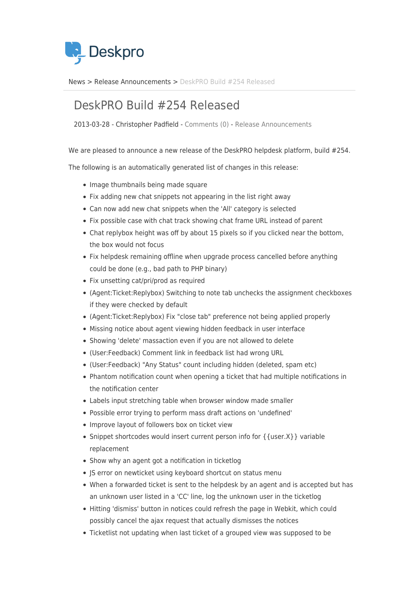

[News](https://support.deskpro.com/da/news) > [Release Announcements](https://support.deskpro.com/da/news/release-announcements) > [DeskPRO Build #254 Released](https://support.deskpro.com/da/news/posts/deskpro-build-254-released)

## DeskPRO Build #254 Released

2013-03-28 - Christopher Padfield - [Comments \(0\)](#page--1-0) - [Release Announcements](https://support.deskpro.com/da/news/release-announcements)

We are pleased to announce a new release of the DeskPRO helpdesk platform, build #254.

The following is an automatically generated list of changes in this release:

- Image thumbnails being made square
- Fix adding new chat snippets not appearing in the list right away
- Can now add new chat snippets when the 'All' category is selected
- Fix possible case with chat track showing chat frame URL instead of parent
- Chat replybox height was off by about 15 pixels so if you clicked near the bottom, the box would not focus
- Fix helpdesk remaining offline when upgrade process cancelled before anything could be done (e.g., bad path to PHP binary)
- Fix unsetting cat/pri/prod as required
- (Agent:Ticket:Replybox) Switching to note tab unchecks the assignment checkboxes if they were checked by default
- (Agent:Ticket:Replybox) Fix "close tab" preference not being applied properly
- Missing notice about agent viewing hidden feedback in user interface
- Showing 'delete' massaction even if you are not allowed to delete
- (User:Feedback) Comment link in feedback list had wrong URL
- (User:Feedback) "Any Status" count including hidden (deleted, spam etc)
- Phantom notification count when opening a ticket that had multiple notifications in the notification center
- Labels input stretching table when browser window made smaller
- Possible error trying to perform mass draft actions on 'undefined'
- Improve layout of followers box on ticket view
- Snippet shortcodes would insert current person info for { {user.X} } variable replacement
- Show why an agent got a notification in ticketlog
- JS error on newticket using keyboard shortcut on status menu
- When a forwarded ticket is sent to the helpdesk by an agent and is accepted but has an unknown user listed in a 'CC' line, log the unknown user in the ticketlog
- Hitting 'dismiss' button in notices could refresh the page in Webkit, which could possibly cancel the ajax request that actually dismisses the notices
- Ticketlist not updating when last ticket of a grouped view was supposed to be